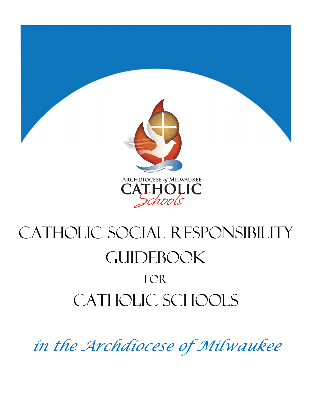

# CATHOLIC SOCIAL RESPONSIBILITY **GUIDEBOOK** FOR CATHOLIC SCHOOLS

*in the Archdiocese of Milwaukee*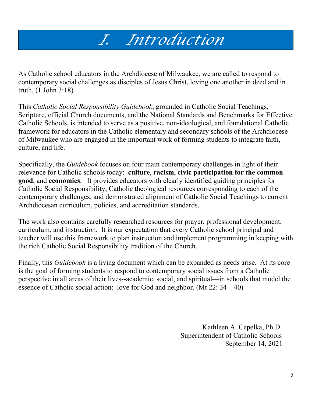# *I. Introduction*

As Catholic school educators in the Archdiocese of Milwaukee, we are called to respond to contemporary social challenges as disciples of Jesus Christ, loving one another in deed and in truth. (1 John 3:18)

This *Catholic Social Responsibility Guidebook*, grounded in Catholic Social Teachings, Scripture, official Church documents, and the National Standards and Benchmarks for Effective Catholic Schools, is intended to serve as a positive, non-ideological, and foundational Catholic framework for educators in the Catholic elementary and secondary schools of the Archdiocese of Milwaukee who are engaged in the important work of forming students to integrate faith, culture, and life.

Specifically, the *Guidebook* focuses on four main contemporary challenges in light of their relevance for Catholic schools today: **culture**, **racism**, **civic participation for the common good**, and **economics**. It provides educators with clearly identified guiding principles for Catholic Social Responsibility, Catholic theological resources corresponding to each of the contemporary challenges, and demonstrated alignment of Catholic Social Teachings to current Archdiocesan curriculum, policies, and accreditation standards.

The work also contains carefully researched resources for prayer, professional development, curriculum, and instruction. It is our expectation that every Catholic school principal and teacher will use this framework to plan instruction and implement programming in keeping with the rich Catholic Social Responsibility tradition of the Church.

Finally, this *Guidebook* is a living document which can be expanded as needs arise. At its core is the goal of forming students to respond to contemporary social issues from a Catholic perspective in all areas of their lives--academic, social, and spiritual—in schools that model the essence of Catholic social action: love for God and neighbor. (Mt 22: 34 – 40)

> Kathleen A. Cepelka, Ph.D. Superintendent of Catholic Schools September 14, 2021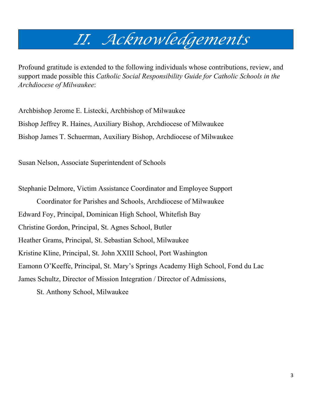# *II. Acknowledgements*

Profound gratitude is extended to the following individuals whose contributions, review, and support made possible this *Catholic Social Responsibility Guide for Catholic Schools in the Archdiocese of Milwaukee*:

Archbishop Jerome E. Listecki, Archbishop of Milwaukee Bishop Jeffrey R. Haines, Auxiliary Bishop, Archdiocese of Milwaukee Bishop James T. Schuerman, Auxiliary Bishop, Archdiocese of Milwaukee

Susan Nelson, Associate Superintendent of Schools

Stephanie Delmore, Victim Assistance Coordinator and Employee Support Coordinator for Parishes and Schools, Archdiocese of Milwaukee Edward Foy, Principal, Dominican High School, Whitefish Bay Christine Gordon, Principal, St. Agnes School, Butler Heather Grams, Principal, St. Sebastian School, Milwaukee Kristine Kline, Principal, St. John XXIII School, Port Washington Eamonn O'Keeffe, Principal, St. Mary's Springs Academy High School, Fond du Lac James Schultz, Director of Mission Integration / Director of Admissions, St. Anthony School, Milwaukee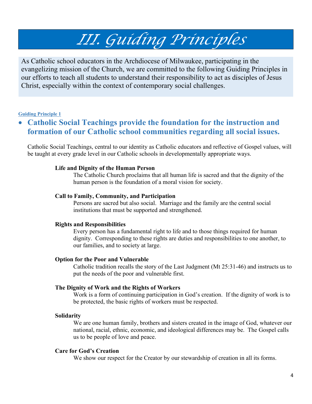# *III. Guiding Principles*

As Catholic school educators in the Archdiocese of Milwaukee, participating in the evangelizing mission of the Church, we are committed to the following Guiding Principles in our efforts to teach all students to understand their responsibility to act as disciples of Jesus Christ, especially within the context of contemporary social challenges.

#### **Guiding Principle 1**

### • **Catholic Social Teachings provide the foundation for the instruction and formation of our Catholic school communities regarding all social issues.**

Catholic Social Teachings, central to our identity as Catholic educators and reflective of Gospel values, will be taught at every grade level in our Catholic schools in developmentally appropriate ways.

#### **Life and Dignity of the Human Person**

The Catholic Church proclaims that all human life is sacred and that the dignity of the human person is the foundation of a moral vision for society.

#### **Call to Family, Community, and Participation**

Persons are sacred but also social. Marriage and the family are the central social institutions that must be supported and strengthened.

#### **Rights and Responsibilities**

Every person has a fundamental right to life and to those things required for human dignity. Corresponding to these rights are duties and responsibilities to one another, to our families, and to society at large.

#### **Option for the Poor and Vulnerable**

Catholic tradition recalls the story of the Last Judgment (Mt 25:31-46) and instructs us to put the needs of the poor and vulnerable first.

#### **The Dignity of Work and the Rights of Workers**

Work is a form of continuing participation in God's creation. If the dignity of work is to be protected, the basic rights of workers must be respected.

#### **Solidarity**

We are one human family, brothers and sisters created in the image of God, whatever our national, racial, ethnic, economic, and ideological differences may be. The Gospel calls us to be people of love and peace.

#### **Care for God's Creation**

We show our respect for the Creator by our stewardship of creation in all its forms.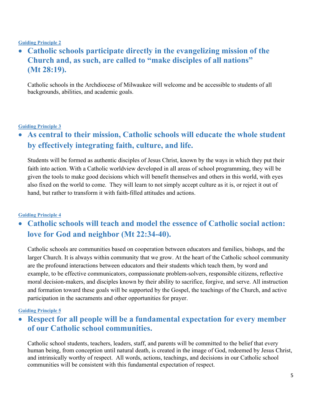#### **Guiding Principle 2**

### • **Catholic schools participate directly in the evangelizing mission of the Church and, as such, are called to "make disciples of all nations" (Mt 28:19).**

Catholic schools in the Archdiocese of Milwaukee will welcome and be accessible to students of all backgrounds, abilities, and academic goals.

#### **Guiding Principle 3**

### • **As central to their mission, Catholic schools will educate the whole student by effectively integrating faith, culture, and life.**

Students will be formed as authentic disciples of Jesus Christ, known by the ways in which they put their faith into action. With a Catholic worldview developed in all areas of school programming, they will be given the tools to make good decisions which will benefit themselves and others in this world, with eyes also fixed on the world to come. They will learn to not simply accept culture as it is, or reject it out of hand, but rather to transform it with faith-filled attitudes and actions.

#### **Guiding Principle 4**

### • **Catholic schools will teach and model the essence of Catholic social action: love for God and neighbor (Mt 22:34-40).**

Catholic schools are communities based on cooperation between educators and families, bishops, and the larger Church. It is always within community that we grow. At the heart of the Catholic school community are the profound interactions between educators and their students which teach them, by word and example, to be effective communicators, compassionate problem-solvers, responsible citizens, reflective moral decision-makers, and disciples known by their ability to sacrifice, forgive, and serve. All instruction and formation toward these goals will be supported by the Gospel, the teachings of the Church, and active participation in the sacraments and other opportunities for prayer.

#### **Guiding Principle 5**

### • **Respect for all people will be a fundamental expectation for every member of our Catholic school communities.**

Catholic school students, teachers, leaders, staff, and parents will be committed to the belief that every human being, from conception until natural death, is created in the image of God, redeemed by Jesus Christ, and intrinsically worthy of respect. All words, actions, teachings, and decisions in our Catholic school communities will be consistent with this fundamental expectation of respect.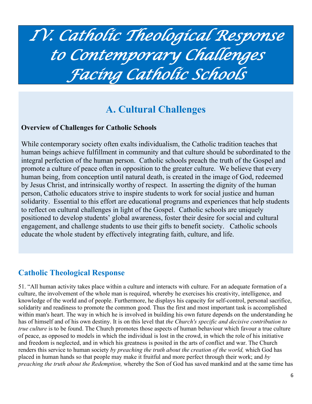# *IV. Catholic Theological Response to Contemporary Challenges Facing Catholic Schools*

# **A. Cultural Challenges**

#### **Overview of Challenges for Catholic Schools**

While contemporary society often exalts individualism, the Catholic tradition teaches that human beings achieve fulfillment in community and that culture should be subordinated to the integral perfection of the human person. Catholic schools preach the truth of the Gospel and promote a culture of peace often in opposition to the greater culture. We believe that every human being, from conception until natural death, is created in the image of God, redeemed by Jesus Christ, and intrinsically worthy of respect. In asserting the dignity of the human person, Catholic educators strive to inspire students to work for social justice and human solidarity. Essential to this effort are educational programs and experiences that help students to reflect on cultural challenges in light of the Gospel. Catholic schools are uniquely positioned to develop students' global awareness, foster their desire for social and cultural engagement, and challenge students to use their gifts to benefit society. Catholic schools educate the whole student by effectively integrating faith, culture, and life.

### **Catholic Theological Response**

51. "All human activity takes place within a culture and interacts with culture. For an adequate formation of a culture, the involvement of the whole man is required, whereby he exercises his creativity, intelligence, and knowledge of the world and of people. Furthermore, he displays his capacity for self-control, personal sacrifice, solidarity and readiness to promote the common good. Thus the first and most important task is accomplished within man's heart. The way in which he is involved in building his own future depends on the understanding he has of himself and of his own destiny. It is on this level that *the Church's specific and decisive contribution to true culture* is to be found. The Church promotes those aspects of human behaviour which favour a true culture of peace, as opposed to models in which the individual is lost in the crowd, in which the role of his initiative and freedom is neglected, and in which his greatness is posited in the arts of conflict and war. The Church renders this service to human society *by preaching the truth about the creation of the world*, which God has placed in human hands so that people may make it fruitful and more perfect through their work; and *by preaching the truth about the Redemption,* whereby the Son of God has saved mankind and at the same time has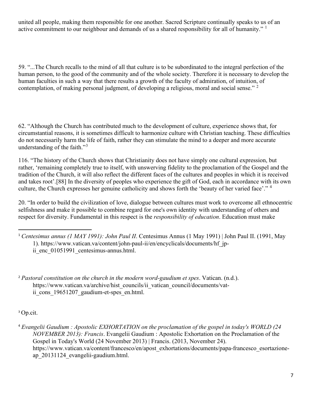united all people, making them responsible for one another. Sacred Scripture continually speaks to us of an active commitment to our neighbour and demands of us a shared responsibility for all of humanity."  $\frac{1}{1}$  $\frac{1}{1}$  $\frac{1}{1}$ 

59. "...The Church recalls to the mind of all that culture is to be subordinated to the integral perfection of the human person, to the good of the community and of the whole society. Therefore it is necessary to develop the human faculties in such a way that there results a growth of the faculty of admiration, of intuition, of contemplation, of making personal judgment, of developing a religious, moral and social sense." <sup>[2](#page-6-1)</sup>

62. "Although the Church has contributed much to the development of culture, experience shows that, for circumstantial reasons, it is sometimes difficult to harmonize culture with Christian teaching. These difficulties do not necessarily harm the life of faith, rather they can stimulate the mind to a deeper and more accurate understanding of the faith."<sup>[3](#page-6-2)</sup>

116. "The history of the Church shows that Christianity does not have simply one cultural expression, but rather, 'remaining completely true to itself, with unswerving fidelity to the proclamation of the Gospel and the tradition of the Church, it will also reflect the different faces of the cultures and peoples in which it is received and takes root'.[88] In the diversity of peoples who experience the gift of God, each in accordance with its own culture, the Church expresses her genuine catholicity and shows forth the 'beauty of her varied face'." <sup>[4](#page-6-3)</sup>

20. "In order to build the civilization of love, dialogue between cultures must work to overcome all ethnocentric selfishness and make it possible to combine regard for one's own identity with understanding of others and respect for diversity. Fundamental in this respect is the *responsibility of education*. Education must make

<span id="page-6-1"></span><sup>2</sup> *Pastoral constitution on the church in the modern word-gaudium et spes*. Vatican. (n.d.). https://www.vatican.va/archive/hist\_councils/ii\_vatican\_council/documents/vatii cons 19651207 gaudium-et-spes en.html.

<span id="page-6-2"></span><sup>3</sup> Op.cit.

<span id="page-6-3"></span><sup>4</sup> *Evangelii Gaudium : Apostolic EXHORTATION on the proclamation of the gospel in today's WORLD (24 NOVEMBER 2013): Francis*. Evangelii Gaudium : Apostolic Exhortation on the Proclamation of the Gospel in Today's World (24 November 2013) | Francis. (2013, November 24). https://www.vatican.va/content/francesco/en/apost\_exhortations/documents/papa-francesco\_esortazioneap\_20131124\_evangelii-gaudium.html.

<span id="page-6-0"></span><sup>1</sup> *Centesimus annus (1 MAY 1991): John Paul II*. Centesimus Annus (1 May 1991) | John Paul II. (1991, May 1). https://www.vatican.va/content/john-paul-ii/en/encyclicals/documents/hf\_jpii enc 01051991 centesimus-annus.html.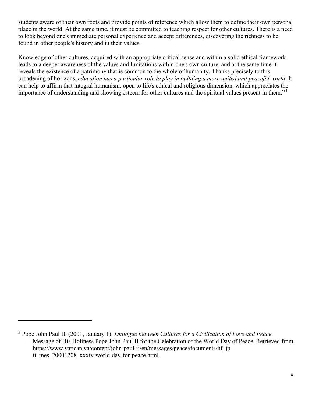students aware of their own roots and provide points of reference which allow them to define their own personal place in the world. At the same time, it must be committed to teaching respect for other cultures. There is a need to look beyond one's immediate personal experience and accept differences, discovering the richness to be found in other people's history and in their values.

Knowledge of other cultures, acquired with an appropriate critical sense and within a solid ethical framework, leads to a deeper awareness of the values and limitations within one's own culture, and at the same time it reveals the existence of a patrimony that is common to the whole of humanity. Thanks precisely to this broadening of horizons, *education has a particular role to play in building a more united and peaceful world*. It can help to affirm that integral humanism, open to life's ethical and religious dimension, which appreciates the importance of understanding and showing esteem for other cultures and the spiritual values present in them."[5](#page-7-0)

<span id="page-7-0"></span><sup>5</sup> Pope John Paul II. (2001, January 1). *Dialogue between Cultures for a Civilization of Love and Peace*. Message of His Holiness Pope John Paul II for the Celebration of the World Day of Peace. Retrieved from https://www.vatican.va/content/john-paul-ii/en/messages/peace/documents/hf\_jpii mes 20001208 xxxiv-world-day-for-peace.html.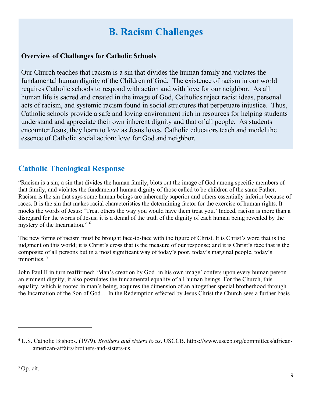# **B. Racism Challenges**

#### **Overview of Challenges for Catholic Schools**

Our Church teaches that racism is a sin that divides the human family and violates the fundamental human dignity of the Children of God. The existence of racism in our world requires Catholic schools to respond with action and with love for our neighbor. As all human life is sacred and created in the image of God, Catholics reject racist ideas, personal acts of racism, and systemic racism found in social structures that perpetuate injustice. Thus, Catholic schools provide a safe and loving environment rich in resources for helping students understand and appreciate their own inherent dignity and that of all people. As students encounter Jesus, they learn to love as Jesus loves. Catholic educators teach and model the essence of Catholic social action: love for God and neighbor.

### **Catholic Theological Response**

"Racism is a sin; a sin that divides the human family, blots out the image of God among specific members of that family, and violates the fundamental human dignity of those called to be children of the same Father. Racism is the sin that says some human beings are inherently superior and others essentially inferior because of races. It is the sin that makes racial characteristics the determining factor for the exercise of human rights. It mocks the words of Jesus: 'Treat others the way you would have them treat you.' Indeed, racism is more than a disregard for the words of Jesus; it is a denial of the truth of the dignity of each human being revealed by the mystery of the Incarnation." <sup>[6](#page-8-0)</sup>

The new forms of racism must be brought face-to-face with the figure of Christ. It is Christ's word that is the judgment on this world; it is Christ's cross that is the measure of our response; and it is Christ's face that is the composite of all persons but in a most significant way of today's poor, today's marginal people, today's minorities.<sup>[7](#page-8-1)</sup>

John Paul II in turn reaffirmed: 'Man's creation by God `in his own image' confers upon every human person an eminent dignity; it also postulates the fundamental equality of all human beings. For the Church, this equality, which is rooted in man's being, acquires the dimension of an altogether special brotherhood through the Incarnation of the Son of God.... In the Redemption effected by Jesus Christ the Church sees a further basis

<span id="page-8-1"></span><span id="page-8-0"></span><sup>6</sup> U.S. Catholic Bishops. (1979). *Brothers and sisters to us*. USCCB. https://www.usccb.org/committees/africanamerican-affairs/brothers-and-sisters-us.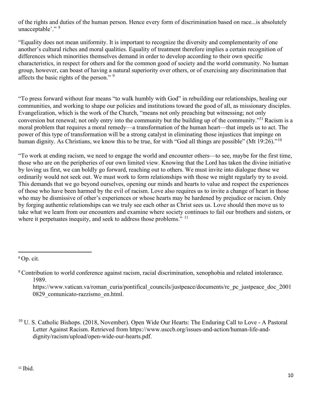of the rights and duties of the human person. Hence every form of discrimination based on race...is absolutely unacceptable'." <sup>[8](#page-9-0)</sup>

"Equality does not mean uniformity. It is important to recognize the diversity and complementarity of one another's cultural riches and moral qualities. Equality of treatment therefore implies a certain recognition of differences which minorities themselves demand in order to develop according to their own specific characteristics, in respect for others and for the common good of society and the world community. No human group, however, can boast of having a natural superiority over others, or of exercising any discrimination that affects the basic rights of the person." [9](#page-9-1)

"To press forward without fear means "to walk humbly with God" in rebuilding our relationships, healing our communities, and working to shape our policies and institutions toward the good of all, as missionary disciples. Evangelization, which is the work of the Church, "means not only preaching but witnessing; not only conversion but renewal; not only entry into the community but the building up of the community."31 Racism is a moral problem that requires a moral remedy—a transformation of the human heart—that impels us to act. The power of this type of transformation will be a strong catalyst in eliminating those injustices that impinge on human dignity. As Christians, we know this to be true, for with "God all things are possible" (Mt 19:26)."<sup>[10](#page-9-2)</sup>

"To work at ending racism, we need to engage the world and encounter others—to see, maybe for the first time, those who are on the peripheries of our own limited view. Knowing that the Lord has taken the divine initiative by loving us first, we can boldly go forward, reaching out to others. We must invite into dialogue those we ordinarily would not seek out. We must work to form relationships with those we might regularly try to avoid. This demands that we go beyond ourselves, opening our minds and hearts to value and respect the experiences of those who have been harmed by the evil of racism. Love also requires us to invite a change of heart in those who may be dismissive of other's experiences or whose hearts may be hardened by prejudice or racism. Only by forging authentic relationships can we truly see each other as Christ sees us. Love should then move us to take what we learn from our encounters and examine where society continues to fail our brothers and sisters, or where it perpetuates inequity, and seek to address those problems." <sup>[11](#page-9-3)</sup>

https://www.vatican.va/roman\_curia/pontifical\_councils/justpeace/documents/rc\_pc\_justpeace\_doc\_2001 0829\_comunicato-razzismo\_en.html.

<span id="page-9-3"></span><span id="page-9-2"></span> $10$  U. S. Catholic Bishops. (2018, November). Open Wide Our Hearts: The Enduring Call to Love - A Pastoral Letter Against Racism. Retrieved from https://www.usccb.org/issues-and-action/human-life-anddignity/racism/upload/open-wide-our-hearts.pdf.

<span id="page-9-0"></span><sup>8</sup> Op. cit.

<span id="page-9-1"></span><sup>9</sup> Contribution to world conference against racism, racial discrimination, xenophobia and related intolerance. 1989.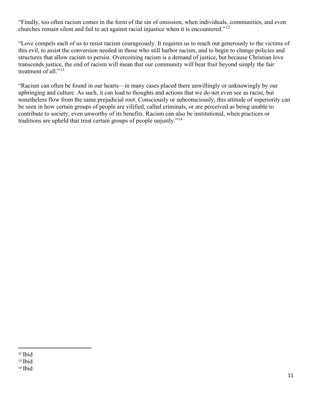"Finally, too often racism comes in the form of the sin of omission, when individuals, communities, and even churches remain silent and fail to act against racial injustice when it is encountered."<sup>[12](#page-10-0)</sup>

"Love compels each of us to resist racism courageously. It requires us to reach out generously to the victims of this evil, to assist the conversion needed in those who still harbor racism, and to begin to change policies and structures that allow racism to persist. Overcoming racism is a demand of justice, but because Christian love transcends justice, the end of racism will mean that our community will bear fruit beyond simply the fair treatment of all."<sup>[13](#page-10-1)</sup>

"Racism can often be found in our hearts—in many cases placed there unwillingly or unknowingly by our upbringing and culture. As such, it can lead to thoughts and actions that we do not even see as racist, but nonetheless flow from the same prejudicial root. Consciously or subconsciously, this attitude of superiority can be seen in how certain groups of people are vilified, called criminals, or are perceived as being unable to contribute to society, even unworthy of its benefits. Racism can also be institutional, when practices or traditions are upheld that treat certain groups of people unjustly."[14](#page-10-2)

<span id="page-10-0"></span> $12$  Ibid

<span id="page-10-1"></span><sup>13</sup> Ibid

<span id="page-10-2"></span><sup>14</sup> Ibid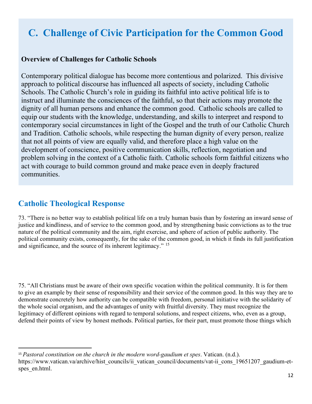# **C. Challenge of Civic Participation for the Common Good**

#### **Overview of Challenges for Catholic Schools**

Contemporary political dialogue has become more contentious and polarized. This divisive approach to political discourse has influenced all aspects of society, including Catholic Schools. The Catholic Church's role in guiding its faithful into active political life is to instruct and illuminate the consciences of the faithful, so that their actions may promote the dignity of all human persons and enhance the common good. Catholic schools are called to equip our students with the knowledge, understanding, and skills to interpret and respond to contemporary social circumstances in light of the Gospel and the truth of our Catholic Church and Tradition. Catholic schools, while respecting the human dignity of every person, realize that not all points of view are equally valid, and therefore place a high value on the development of conscience, positive communication skills, reflection, negotiation and problem solving in the context of a Catholic faith. Catholic schools form faithful citizens who act with courage to build common ground and make peace even in deeply fractured communities.

### **Catholic Theological Response**

73. "There is no better way to establish political life on a truly human basis than by fostering an inward sense of justice and kindliness, and of service to the common good, and by strengthening basic convictions as to the true nature of the political community and the aim, right exercise, and sphere of action of public authority. The political community exists, consequently, for the sake of the common good, in which it finds its full justification and significance, and the source of its inherent legitimacy."<sup>[15](#page-11-0)</sup>

75. "All Christians must be aware of their own specific vocation within the political community. It is for them to give an example by their sense of responsibility and their service of the common good. In this way they are to demonstrate concretely how authority can be compatible with freedom, personal initiative with the solidarity of the whole social organism, and the advantages of unity with fruitful diversity. They must recognize the legitimacy of different opinions with regard to temporal solutions, and respect citizens, who, even as a group, defend their points of view by honest methods. Political parties, for their part, must promote those things which

<span id="page-11-0"></span><sup>15</sup> *Pastoral constitution on the church in the modern word-gaudium et spes*. Vatican. (n.d.). https://www.vatican.va/archive/hist\_councils/ii\_vatican\_council/documents/vat-ii\_cons\_19651207\_gaudium-etspes en.html.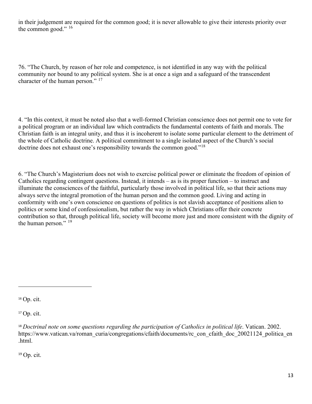in their judgement are required for the common good; it is never allowable to give their interests priority over the common good."  $16$ 

76. "The Church, by reason of her role and competence, is not identified in any way with the political community nor bound to any political system. She is at once a sign and a safeguard of the transcendent character of the human person."<sup>[17](#page-12-1)</sup>

4. "In this context, it must be noted also that a well-formed Christian conscience does not permit one to vote for a political program or an individual law which contradicts the fundamental contents of faith and morals. The Christian faith is an integral unity, and thus it is incoherent to isolate some particular element to the detriment of the whole of Catholic doctrine. A political commitment to a single isolated aspect of the Church's social doctrine does not exhaust one's responsibility towards the common good."[18](#page-12-2)

6. "The Church's Magisterium does not wish to exercise political power or eliminate the freedom of opinion of Catholics regarding contingent questions. Instead, it intends – as is its proper function – to instruct and illuminate the consciences of the faithful, particularly those involved in political life, so that their actions may always serve the integral promotion of the human person and the common good. Living and acting in conformity with one's own conscience on questions of politics is not slavish acceptance of positions alien to politics or some kind of confessionalism, but rather the way in which Christians offer their concrete contribution so that, through political life, society will become more just and more consistent with the dignity of the human person."  $^{19}$  $^{19}$  $^{19}$ 

<span id="page-12-0"></span><sup>16</sup> Op. cit.

<span id="page-12-1"></span><sup>17</sup> Op. cit.

<span id="page-12-3"></span> $19$  Op. cit.

<span id="page-12-2"></span><sup>&</sup>lt;sup>18</sup> Doctrinal note on some questions regarding the participation of Catholics in political life. Vatican. 2002. https://www.vatican.va/roman\_curia/congregations/cfaith/documents/rc\_con\_cfaith\_doc\_20021124\_politica\_en .html.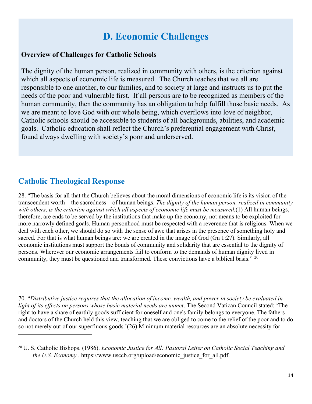# **D. Economic Challenges**

#### **Overview of Challenges for Catholic Schools**

The dignity of the human person, realized in community with others, is the criterion against which all aspects of economic life is measured. The Church teaches that we all are responsible to one another, to our families, and to society at large and instructs us to put the needs of the poor and vulnerable first. If all persons are to be recognized as members of the human community, then the community has an obligation to help fulfill those basic needs. As we are meant to love God with our whole being, which overflows into love of neighbor, Catholic schools should be accessible to students of all backgrounds, abilities, and academic goals. Catholic education shall reflect the Church's preferential engagement with Christ, found always dwelling with society's poor and underserved.

### **Catholic Theological Response**

28. "The basis for all that the Church believes about the moral dimensions of economic life is its vision of the transcendent worth—the sacredness—of human beings. *The dignity of the human person, realized in community with others, is the criterion against which all aspects of economic life must be measured.*(1) All human beings, therefore, are ends to be served by the institutions that make up the economy, not means to be exploited for more narrowly defined goals. Human personhood must be respected with a reverence that is religious. When we deal with each other, we should do so with the sense of awe that arises in the presence of something holy and sacred. For that is what human beings are: we are created in the image of God (Gn 1:27). Similarly, all economic institutions must support the bonds of community and solidarity that are essential to the dignity of persons. Wherever our economic arrangements fail to conform to the demands of human dignity lived in community, they must be questioned and transformed. These convictions have a biblical basis." <sup>[20](#page-13-0)</sup>

70. "*Distributive justice requires that the allocation of income, wealth, and power in society be evaluated in light of its effects on persons whose basic material needs are unmet*. The Second Vatican Council stated: 'The right to have a share of earthly goods sufficient for oneself and one's family belongs to everyone. The fathers and doctors of the Church held this view, teaching that we are obliged to come to the relief of the poor and to do so not merely out of our superfluous goods.'(26) Minimum material resources are an absolute necessity for

<span id="page-13-0"></span><sup>20</sup> U. S. Catholic Bishops. (1986). *Economic Justice for All: Pastoral Letter on Catholic Social Teaching and the U.S. Economy* . https://www.usccb.org/upload/economic justice for all.pdf.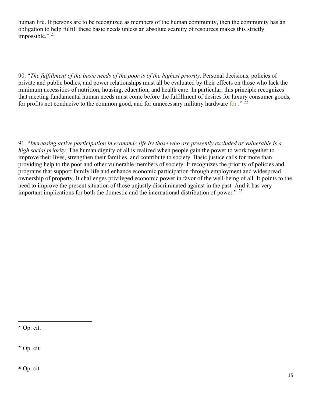human life. If persons are to be recognized as members of the human community, then the community has an obligation to help fulfill these basic needs unless an absolute scarcity of resources makes this strictly impossible." $^{21}$  $^{21}$  $^{21}$ 

90. "*The fulfillment of the basic needs of the poor is of the highest priority*. Personal decisions, policies of private and public bodies, and power relationships must all be evaluated by their effects on those who lack the minimum necessities of nutrition, housing, education, and health care. In particular, this principle recognizes that meeting fundamental human needs must come before the fulfillment of desires for luxury consumer goods, for profits not conducive to the common good, and for unnecessary military hardware for  $\cdot$ "  $^{22}$  $^{22}$  $^{22}$ 

91. "*Increasing active participation in economic life by those who are presently excluded or vulnerable is a high social priority*. The human dignity of all is realized when people gain the power to work together to improve their lives, strengthen their families, and contribute to society. Basic justice calls for more than providing help to the poor and other vulnerable members of society. It recognizes the priority of policies and programs that support family life and enhance economic participation through employment and widespread ownership of property. It challenges privileged economic power in favor of the well-being of all. It points to the need to improve the present situation of those unjustly discriminated against in the past. And it has very important implications for both the domestic and the international distribution of power."  $^{23}$  $^{23}$  $^{23}$ 

<span id="page-14-0"></span><sup>21</sup> Op. cit.

<span id="page-14-1"></span><sup>22</sup> Op. cit.

<span id="page-14-2"></span><sup>23</sup> Op. cit.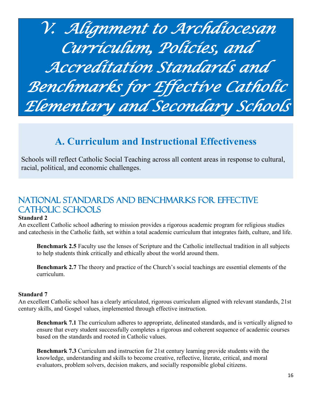*V. Alignment to Archdiocesan Curriculum, Policies, and Accreditation Standards and Benchmarks for Effective Catholic Elementary and Secondary Schools*

# **A. Curriculum and Instructional Effectiveness**

Schools will reflect Catholic Social Teaching across all content areas in response to cultural, racial, political, and economic challenges.

# National Standards and Benchmarks for Effective CATHOLIC SCHOOLS

#### **Standard 2**

An excellent Catholic school adhering to mission provides a rigorous academic program for religious studies and catechesis in the Catholic faith, set within a total academic curriculum that integrates faith, culture, and life.

**Benchmark 2.5** Faculty use the lenses of Scripture and the Catholic intellectual tradition in all subjects to help students think critically and ethically about the world around them.

**Benchmark 2.7** The theory and practice of the Church's social teachings are essential elements of the curriculum.

#### **Standard 7**

An excellent Catholic school has a clearly articulated, rigorous curriculum aligned with relevant standards, 21st century skills, and Gospel values, implemented through effective instruction.

**Benchmark 7.1** The curriculum adheres to appropriate, delineated standards, and is vertically aligned to ensure that every student successfully completes a rigorous and coherent sequence of academic courses based on the standards and rooted in Catholic values.

**Benchmark 7.3** Curriculum and instruction for 21st century learning provide students with the knowledge, understanding and skills to become creative, reflective, literate, critical, and moral evaluators, problem solvers, decision makers, and socially responsible global citizens.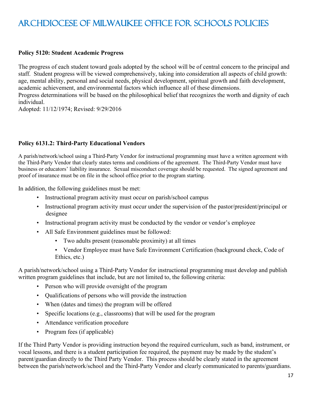# Archdiocese of Milwaukee Office for Schools Policies

#### **Policy 5120: Student Academic Progress**

The progress of each student toward goals adopted by the school will be of central concern to the principal and staff. Student progress will be viewed comprehensively, taking into consideration all aspects of child growth: age, mental ability, personal and social needs, physical development, spiritual growth and faith development, academic achievement, and environmental factors which influence all of these dimensions.

Progress determinations will be based on the philosophical belief that recognizes the worth and dignity of each individual.

Adopted: 11/12/1974; Revised: 9/29/2016

#### **Policy 6131.2: Third-Party Educational Vendors**

A parish/network/school using a Third-Party Vendor for instructional programming must have a written agreement with the Third-Party Vendor that clearly states terms and conditions of the agreement. The Third-Party Vendor must have business or educators' liability insurance. Sexual misconduct coverage should be requested. The signed agreement and proof of insurance must be on file in the school office prior to the program starting.

In addition, the following guidelines must be met:

- Instructional program activity must occur on parish/school campus
- Instructional program activity must occur under the supervision of the pastor/president/principal or designee
- Instructional program activity must be conducted by the vendor or vendor's employee
- All Safe Environment guidelines must be followed:
	- Two adults present (reasonable proximity) at all times
	- Vendor Employee must have Safe Environment Certification (background check, Code of Ethics, etc.)

A parish/network/school using a Third-Party Vendor for instructional programming must develop and publish written program guidelines that include, but are not limited to, the following criteria:

- Person who will provide oversight of the program
- Qualifications of persons who will provide the instruction
- When (dates and times) the program will be offered
- Specific locations (e.g., classrooms) that will be used for the program
- Attendance verification procedure
- Program fees (if applicable)

If the Third Party Vendor is providing instruction beyond the required curriculum, such as band, instrument, or vocal lessons, and there is a student participation fee required, the payment may be made by the student's parent/guardian directly to the Third Party Vendor. This process should be clearly stated in the agreement between the parish/network/school and the Third-Party Vendor and clearly communicated to parents/guardians.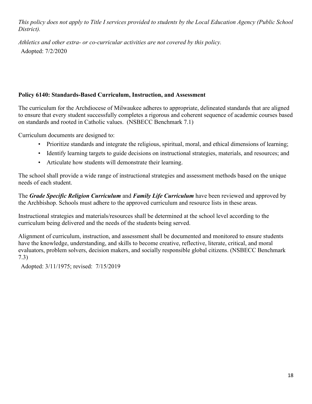*This policy does not apply to Title I services provided to students by the Local Education Agency (Public School District).*

*Athletics and other extra- or co-curricular activities are not covered by this policy.* Adopted: 7/2/2020

#### **Policy 6140: Standards-Based Curriculum, Instruction, and Assessment**

The curriculum for the Archdiocese of Milwaukee adheres to appropriate, delineated standards that are aligned to ensure that every student successfully completes a rigorous and coherent sequence of academic courses based on standards and rooted in Catholic values. (NSBECC Benchmark 7.1)

Curriculum documents are designed to:

- Prioritize standards and integrate the religious, spiritual, moral, and ethical dimensions of learning;
- Identify learning targets to guide decisions on instructional strategies, materials, and resources; and
- Articulate how students will demonstrate their learning.

The school shall provide a wide range of instructional strategies and assessment methods based on the unique needs of each student.

The *Grade Specific Religion Curriculum* and *Family Life Curriculum* have been reviewed and approved by the Archbishop. Schools must adhere to the approved curriculum and resource lists in these areas.

Instructional strategies and materials/resources shall be determined at the school level according to the curriculum being delivered and the needs of the students being served.

Alignment of curriculum, instruction, and assessment shall be documented and monitored to ensure students have the knowledge, understanding, and skills to become creative, reflective, literate, critical, and moral evaluators, problem solvers, decision makers, and socially responsible global citizens. (NSBECC Benchmark 7.3)

Adopted: 3/11/1975; revised: 7/15/2019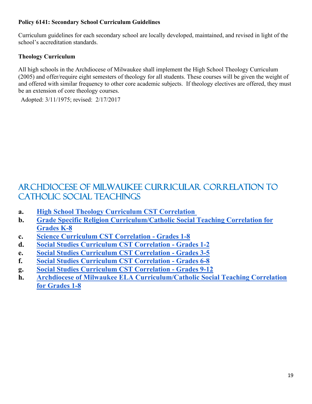#### **Policy 6141: Secondary School Curriculum Guidelines**

Curriculum guidelines for each secondary school are locally developed, maintained, and revised in light of the school's accreditation standards.

#### **Theology Curriculum**

All high schools in the Archdiocese of Milwaukee shall implement the High School Theology Curriculum (2005) and offer/require eight semesters of theology for all students. These courses will be given the weight of and offered with similar frequency to other core academic subjects. If theology electives are offered, they must be an extension of core theology courses.

Adopted: 3/11/1975; revised: 2/17/2017

# Archdiocese of Milwaukee Curricular Correlation to Catholic Social Teachings

- **a. [High School Theology Curriculum CST Correlation](https://schools.archmil.org/CentersofExcellence/DOCsPDFs/Catholic-Social-Responsibility/HighSchoolTheologyCurriculumCSTCorrelationDraft.pdf)**
- **b. [Grade Specific Religion Curriculum/Catholic Social Teaching Correlation for](https://schools.archmil.org/CentersofExcellence/DOCsPDFs/Links/GradeSpecificReligionCurriculum-CatholicSocialTeachingCorrelationforGradesK-8.pdf)  [Grades K-8](https://schools.archmil.org/CentersofExcellence/DOCsPDFs/Links/GradeSpecificReligionCurriculum-CatholicSocialTeachingCorrelationforGradesK-8.pdf)**
- **c. [Science Curriculum CST Correlation -](https://schools.archmil.org/CentersofExcellence/DOCsPDFs/Catholic-Social-Responsibility/ScienceCurriculum.CSTCorrelationGrade1.8.pdf) Grades 1-8**
- **d. [Social Studies Curriculum CST Correlation -](https://schools.archmil.org/CentersofExcellence/DOCsPDFs/Catholic-Social-Responsibility/SocialStudiesCurriculumCSTCorrelation_Gr1.2.pdf) Grades 1-2**
- **e. [Social Studies Curriculum CST Correlation -](https://schools.archmil.org/CentersofExcellence/DOCsPDFs/Catholic-Social-Responsibility/SocialStudiesCurriculumCSTCorrelation_Gr3.5.pdf) Grades 3-5**
- **f. [Social Studies Curriculum CST Correlation -](https://schools.archmil.org/CentersofExcellence/DOCsPDFs/Catholic-Social-Responsibility/SocialStudiesCurriculumCSTCorrelation_Gr6.8.pdf) Grades 6-8**
- **g. [Social Studies Curriculum CST Correlation -](https://schools.archmil.org/CentersofExcellence/DOCsPDFs/Catholic-Social-Responsibility/SocialStudiesCurriculumCSTCorrelation_Gr9.12.pdf) Grades 9-12**
- **h. [Archdiocese of Milwaukee ELA Curriculum/Catholic Social Teaching Correlation](https://schools.archmil.org/CentersofExcellence/DOCsPDFs/Links/ArchdioceseofMilwaukeeELACurriculumCatholicSocialTeachingCorrelationforGrades1-8.pdf)  [for Grades 1-8](https://schools.archmil.org/CentersofExcellence/DOCsPDFs/Links/ArchdioceseofMilwaukeeELACurriculumCatholicSocialTeachingCorrelationforGrades1-8.pdf)**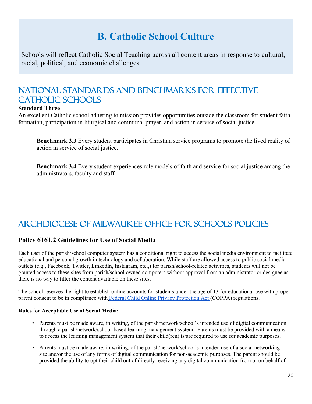# **B. Catholic School Culture**

Schools will reflect Catholic Social Teaching across all content areas in response to cultural, racial, political, and economic challenges.

# National Standards and Benchmarks for Effective CATHOLIC SCHOOLS

#### **Standard Three**

An excellent Catholic school adhering to mission provides opportunities outside the classroom for student faith formation, participation in liturgical and communal prayer, and action in service of social justice.

**Benchmark 3.3** Every student participates in Christian service programs to promote the lived reality of action in service of social justice.

**Benchmark 3.4** Every student experiences role models of faith and service for social justice among the administrators, faculty and staff.

# Archdiocese of Milwaukee Office for Schools Policies

#### **Policy 6161.2 Guidelines for Use of Social Media**

Each user of the parish/school computer system has a conditional right to access the social media environment to facilitate educational and personal growth in technology and collaboration. While staff are allowed access to public social media outlets (e.g., Facebook, Twitter, LinkedIn, Instagram, etc.,) for parish/school-related activities, students will not be granted access to these sites from parish/school owned computers without approval from an administrator or designee as there is no way to filter the content available on these sites.

The school reserves the right to establish online accounts for students under the age of 13 for educational use with proper parent consent to be in compliance with [Federal Child Online Privacy Protection Act](http://www.coppa.org/coppa.htm) (COPPA) regulations.

#### **Rules for Acceptable Use of Social Media:**

- Parents must be made aware, in writing, of the parish/network/school's intended use of digital communication through a parish/network/school-based learning management system. Parents must be provided with a means to access the learning management system that their child(ren) is/are required to use for academic purposes.
- Parents must be made aware, in writing, of the parish/network/school's intended use of a social networking site and/or the use of any forms of digital communication for non-academic purposes. The parent should be provided the ability to opt their child out of directly receiving any digital communication from or on behalf of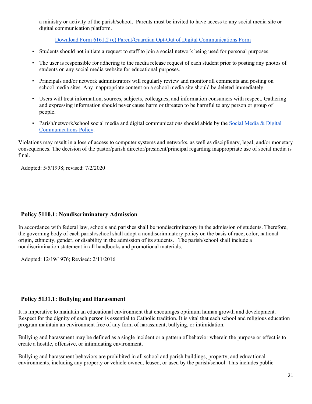a ministry or activity of the parish/school. Parents must be invited to have access to any social media site or digital communication platform.

[Download Form 6161.2 \(c\) Parent/Guardian Opt-Out of Digital Communications Form](https://www.archmil.org/Resources-2.0/6161.2-c-Parent-Guardian-Opt-Out-of-Digital-Communication-Form.htm)

- Students should not initiate a request to staff to join a social network being used for personal purposes.
- The user is responsible for adhering to the media release request of each student prior to posting any photos of students on any social media website for educational purposes.
- Principals and/or network administrators will regularly review and monitor all comments and posting on school media sites. Any inappropriate content on a school media site should be deleted immediately.
- Users will treat information, sources, subjects, colleagues, and information consumers with respect. Gathering and expressing information should never cause harm or threaten to be harmful to any person or group of people.
- Parish/network/school social media and digital communications should abide by the Social Media & Digital [Communications Policy.](https://www.archmil.org/offices/safeguarding/Social-Networking-Policy.htm)

Violations may result in a loss of access to computer systems and networks, as well as disciplinary, legal, and/or monetary consequences. The decision of the pastor/parish director/president/principal regarding inappropriate use of social media is final.

Adopted: 5/5/1998; revised: 7/2/2020

#### **Policy 5110.1: Nondiscriminatory Admission**

In accordance with federal law, schools and parishes shall be nondiscriminatory in the admission of students. Therefore, the governing body of each parish/school shall adopt a nondiscriminatory policy on the basis of race, color, national origin, ethnicity, gender, or disability in the admission of its students. The parish/school shall include a nondiscrimination statement in all handbooks and promotional materials.

Adopted: 12/19/1976; Revised: 2/11/2016

#### **Policy 5131.1: Bullying and Harassment**

It is imperative to maintain an educational environment that encourages optimum human growth and development. Respect for the dignity of each person is essential to Catholic tradition. It is vital that each school and religious education program maintain an environment free of any form of harassment, bullying, or intimidation.

Bullying and harassment may be defined as a single incident or a pattern of behavior wherein the purpose or effect is to create a hostile, offensive, or intimidating environment.

Bullying and harassment behaviors are prohibited in all school and parish buildings, property, and educational environments, including any property or vehicle owned, leased, or used by the parish/school. This includes public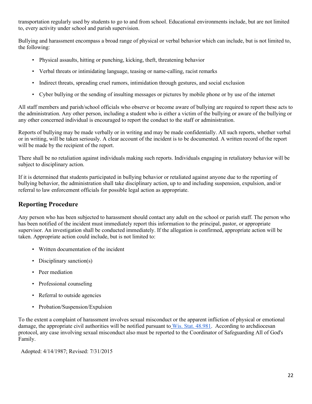transportation regularly used by students to go to and from school. Educational environments include, but are not limited to, every activity under school and parish supervision.

Bullying and harassment encompass a broad range of physical or verbal behavior which can include, but is not limited to, the following:

- Physical assaults, hitting or punching, kicking, theft, threatening behavior
- Verbal threats or intimidating language, teasing or name-calling, racist remarks
- Indirect threats, spreading cruel rumors, intimidation through gestures, and social exclusion
- Cyber bullying or the sending of insulting messages or pictures by mobile phone or by use of the internet

All staff members and parish/school officials who observe or become aware of bullying are required to report these acts to the administration. Any other person, including a student who is either a victim of the bullying or aware of the bullying or any other concerned individual is encouraged to report the conduct to the staff or administration.

Reports of bullying may be made verbally or in writing and may be made confidentially. All such reports, whether verbal or in writing, will be taken seriously. A clear account of the incident is to be documented. A written record of the report will be made by the recipient of the report.

There shall be no retaliation against individuals making such reports. Individuals engaging in retaliatory behavior will be subject to disciplinary action.

If it is determined that students participated in bullying behavior or retaliated against anyone due to the reporting of bullying behavior, the administration shall take disciplinary action, up to and including suspension, expulsion, and/or referral to law enforcement officials for possible legal action as appropriate.

#### **Reporting Procedure**

Any person who has been subjected to harassment should contact any adult on the school or parish staff. The person who has been notified of the incident must immediately report this information to the principal, pastor, or appropriate supervisor. An investigation shall be conducted immediately. If the allegation is confirmed, appropriate action will be taken. Appropriate action could include, but is not limited to:

- Written documentation of the incident
- Disciplinary sanction(s)
- Peer mediation
- Professional counseling
- Referral to outside agencies
- Probation/Suspension/Expulsion

To the extent a complaint of harassment involves sexual misconduct or the apparent infliction of physical or emotional damage, the appropriate civil authorities will be notified pursuant to [Wis. Stat. 48.981.](https://docs.legis.wisconsin.gov/statutes/statutes/48.pdf#page=163) According to archdiocesan protocol, any case involving sexual misconduct also must be reported to the Coordinator of Safeguarding All of God's Family.

Adopted: 4/14/1987; Revised: 7/31/2015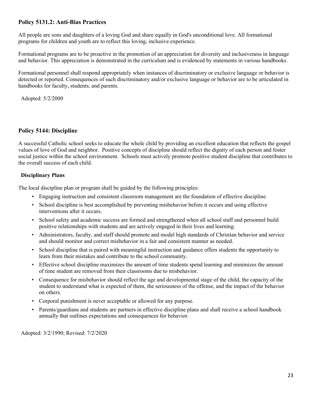#### **Policy 5131.2: Anti-Bias Practices**

All people are sons and daughters of a loving God and share equally in God's unconditional love. All formational programs for children and youth are to reflect this loving, inclusive experience.

Formational programs are to be proactive in the promotion of an appreciation for diversity and inclusiveness in language and behavior. This appreciation is demonstrated in the curriculum and is evidenced by statements in various handbooks.

Formational personnel shall respond appropriately when instances of discriminatory or exclusive language or behavior is detected or reported. Consequences of such discriminatory and/or exclusive language or behavior are to be articulated in handbooks for faculty, students, and parents.

Adopted: 5/2/2000

#### **Policy 5144: Discipline**

A successful Catholic school seeks to educate the whole child by providing an excellent education that reflects the gospel values of love of God and neighbor. Positive concepts of discipline should reflect the dignity of each person and foster social justice within the school environment. Schools must actively promote positive student discipline that contributes to the overall success of each child.

#### **Disciplinary Plans**

The local discipline plan or program shall be guided by the following principles:

- Engaging instruction and consistent classroom management are the foundation of effective discipline.
- School discipline is best accomplished by preventing misbehavior before it occurs and using effective interventions after it occurs.
- School safety and academic success are formed and strengthened when all school staff and personnel build positive relationships with students and are actively engaged in their lives and learning.
- Administrators, faculty, and staff should promote and model high standards of Christian behavior and service and should monitor and correct misbehavior in a fair and consistent manner as needed.
- School discipline that is paired with meaningful instruction and guidance offers students the opportunity to learn from their mistakes and contribute to the school community.
- Effective school discipline maximizes the amount of time students spend learning and minimizes the amount of time student are removed from their classrooms due to misbehavior.
- Consequence for misbehavior should reflect the age and developmental stage of the child, the capacity of the student to understand what is expected of them, the seriousness of the offense, and the impact of the behavior on others.
- Corporal punishment is never acceptable or allowed for any purpose.
- Parents/guardians and students are partners in effective discipline plans and shall receive a school handbook annually that outlines expectations and consequences for behavior.

Adopted: 3/2/1990; Revised: 7/2/2020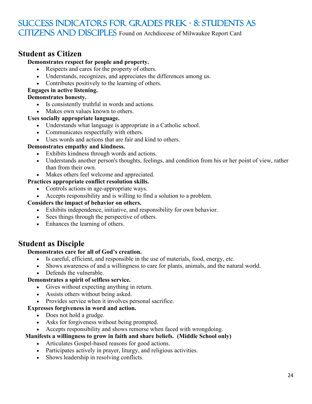## Success Indicators for Grades PreK - 8: Students as CITIZENS AND DISCIPLES Found on Archdiocese of Milwaukee Report Card

### **Student as Citizen**

### **Demonstrates respect for people and property.**

- Respects and cares for the property of others.
- Understands, recognizes, and appreciates the differences among us.
- Contributes positively to the learning of others.

#### **Engages in active listening.**

#### **Demonstrates honesty.**

- Is consistently truthful in words and actions.
- Makes own values known to others.

#### **Uses socially appropriate language.**

- Understands what language is appropriate in a Catholic school.
- Communicates respectfully with others.
- Uses words and actions that are fair and kind to others.

#### **Demonstrates empathy and kindness.**

- Exhibits kindness through words and actions.
- Understands another person's thoughts, feelings, and condition from his or her point of view, rather than from their own.
- Makes others feel welcome and appreciated.

#### **Practices appropriate conflict resolution skills.**

- Controls actions in age-appropriate ways.
- Accepts responsibility and is willing to find a solution to a problem.

#### **Considers the impact of behavior on others.**

- Exhibits independence, initiative, and responsibility for own behavior.
- Sees things through the perspective of others.
- Enhances the learning of others.

#### **Student as Disciple**

#### **Demonstrates care for all of God's creation.**

- Is careful, efficient, and responsible in the use of materials, food, energy, etc.
- Shows awareness of and a willingness to care for plants, animals, and the natural world.
- Defends the vulnerable.

#### **Demonstrates a spirit of selfless service.**

- Gives without expecting anything in return.
- Assists others without being asked.
- Provides service when it involves personal sacrifice.

#### **Expresses forgiveness in word and action.**

- Does not hold a grudge.
- Asks for forgiveness without being prompted.
- Accepts responsibility and shows remorse when faced with wrongdoing.

#### **Manifests a willingness to grow in faith and share beliefs. (Middle School only)**

- Articulates Gospel-based reasons for good actions.
- Participates actively in prayer, liturgy, and religious activities.
- Shows leadership in resolving conflicts.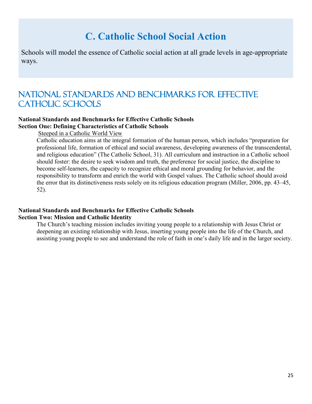# **C. Catholic School Social Action**

Schools will model the essence of Catholic social action at all grade levels in age-appropriate ways.

## National Standards and Benchmarks for Effective CATHOLIC SCHOOLS

#### **National Standards and Benchmarks for Effective Catholic Schools Section One: Defining Characteristics of Catholic Schools**

Steeped in a Catholic World View

Catholic education aims at the integral formation of the human person, which includes "preparation for professional life, formation of ethical and social awareness, developing awareness of the transcendental, and religious education" (The Catholic School, 31). All curriculum and instruction in a Catholic school should foster: the desire to seek wisdom and truth, the preference for social justice, the discipline to become self-learners, the capacity to recognize ethical and moral grounding for behavior, and the responsibility to transform and enrich the world with Gospel values. The Catholic school should avoid the error that its distinctiveness rests solely on its religious education program (Miller, 2006, pp. 43–45, 52).

#### **National Standards and Benchmarks for Effective Catholic Schools Section Two: Mission and Catholic Identity**

The Church's teaching mission includes inviting young people to a relationship with Jesus Christ or deepening an existing relationship with Jesus, inserting young people into the life of the Church, and assisting young people to see and understand the role of faith in one's daily life and in the larger society.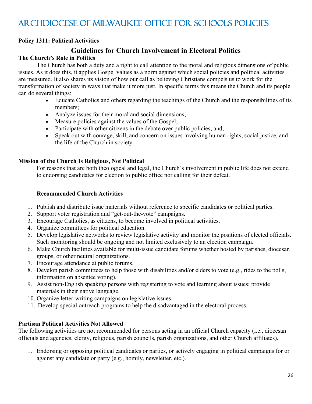# Archdiocese of Milwaukee Office for Schools Policies

#### **Policy 1311: Political Activities**

#### **Guidelines for Church Involvement in Electoral Politics**

#### **The Church's Role in Politics**

The Church has both a duty and a right to call attention to the moral and religious dimensions of public issues. As it does this, it applies Gospel values as a norm against which social policies and political activities are measured. It also shares its vision of how our call as believing Christians compels us to work for the transformation of society in ways that make it more just. In specific terms this means the Church and its people can do several things:

- Educate Catholics and others regarding the teachings of the Church and the responsibilities of its members;
- Analyze issues for their moral and social dimensions;
- Measure policies against the values of the Gospel;
- Participate with other citizens in the debate over public policies; and,
- Speak out with courage, skill, and concern on issues involving human rights, social justice, and the life of the Church in society.

#### **Mission of the Church Is Religious, Not Political**

For reasons that are both theological and legal, the Church's involvement in public life does not extend to endorsing candidates for election to public office nor calling for their defeat.

#### **Recommended Church Activities**

- 1. Publish and distribute issue materials without reference to specific candidates or political parties.
- 2. Support voter registration and "get-out-the-vote" campaigns.
- 3. Encourage Catholics, as citizens, to become involved in political activities.
- 4. Organize committees for political education.
- 5. Develop legislative networks to review legislative activity and monitor the positions of elected officials. Such monitoring should be ongoing and not limited exclusively to an election campaign.
- 6. Make Church facilities available for multi-issue candidate forums whether hosted by parishes, diocesan groups, or other neutral organizations.
- 7. Encourage attendance at public forums.
- 8. Develop parish committees to help those with disabilities and/or elders to vote (e.g., rides to the polls, information on absentee voting).
- 9. Assist non-English speaking persons with registering to vote and learning about issues; provide materials in their native language.
- 10. Organize letter-writing campaigns on legislative issues.
- 11. Develop special outreach programs to help the disadvantaged in the electoral process.

#### **Partisan Political Activities Not Allowed**

The following activities are not recommended for persons acting in an official Church capacity (i.e., diocesan officials and agencies, clergy, religious, parish councils, parish organizations, and other Church affiliates).

1. Endorsing or opposing political candidates or parties, or actively engaging in political campaigns for or against any candidate or party (e.g., homily, newsletter, etc.).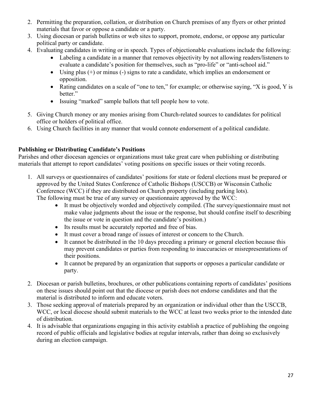- 2. Permitting the preparation, collation, or distribution on Church premises of any flyers or other printed materials that favor or oppose a candidate or a party.
- 3. Using diocesan or parish bulletins or web sites to support, promote, endorse, or oppose any particular political party or candidate.
- 4. Evaluating candidates in writing or in speech. Types of objectionable evaluations include the following:
	- Labeling a candidate in a manner that removes objectivity by not allowing readers/listeners to evaluate a candidate's position for themselves, such as "pro-life" or "anti-school aid."
	- Using plus (+) or minus (-) signs to rate a candidate, which implies an endorsement or opposition.
	- Rating candidates on a scale of "one to ten," for example; or otherwise saying, "X is good, Y is better."
	- Issuing "marked" sample ballots that tell people how to vote.
- 5. Giving Church money or any monies arising from Church-related sources to candidates for political office or holders of political office.
- 6. Using Church facilities in any manner that would connote endorsement of a political candidate.

#### **Publishing or Distributing Candidate's Positions**

Parishes and other diocesan agencies or organizations must take great care when publishing or distributing materials that attempt to report candidates' voting positions on specific issues or their voting records.

- 1. All surveys or questionnaires of candidates' positions for state or federal elections must be prepared or approved by the United States Conference of Catholic Bishops (USCCB) or Wisconsin Catholic Conference (WCC) if they are distributed on Church property (including parking lots). The following must be true of any survey or questionnaire approved by the WCC:
	- It must be objectively worded and objectively compiled. (The survey/questionnaire must not make value judgments about the issue or the response, but should confine itself to describing the issue or vote in question and the candidate's position.)
	- Its results must be accurately reported and free of bias.
	- It must cover a broad range of issues of interest or concern to the Church.
	- It cannot be distributed in the 10 days preceding a primary or general election because this may prevent candidates or parties from responding to inaccuracies or misrepresentations of their positions.
	- It cannot be prepared by an organization that supports or opposes a particular candidate or party.
- 2. Diocesan or parish bulletins, brochures, or other publications containing reports of candidates' positions on these issues should point out that the diocese or parish does not endorse candidates and that the material is distributed to inform and educate voters.
- 3. Those seeking approval of materials prepared by an organization or individual other than the USCCB, WCC, or local diocese should submit materials to the WCC at least two weeks prior to the intended date of distribution.
- 4. It is advisable that organizations engaging in this activity establish a practice of publishing the ongoing record of public officials and legislative bodies at regular intervals, rather than doing so exclusively during an election campaign.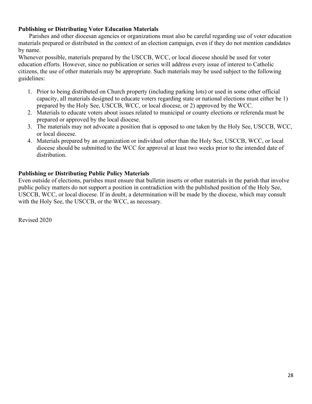#### **Publishing or Distributing Voter Education Materials**

 Parishes and other diocesan agencies or organizations must also be careful regarding use of voter education materials prepared or distributed in the context of an election campaign, even if they do not mention candidates by name.

Whenever possible, materials prepared by the USCCB, WCC, or local diocese should be used for voter education efforts. However, since no publication or series will address every issue of interest to Catholic citizens, the use of other materials may be appropriate. Such materials may be used subject to the following guidelines:

- 1. Prior to being distributed on Church property (including parking lots) or used in some other official capacity, all materials designed to educate voters regarding state or national elections must either be 1) prepared by the Holy See, USCCB, WCC, or local diocese, or 2) approved by the WCC.
- 2. Materials to educate voters about issues related to municipal or county elections or referenda must be prepared or approved by the local diocese.
- 3. The materials may not advocate a position that is opposed to one taken by the Holy See, USCCB, WCC, or local diocese.
- 4. Materials prepared by an organization or individual other than the Holy See, USCCB, WCC, or local diocese should be submitted to the WCC for approval at least two weeks prior to the intended date of distribution.

#### **Publishing or Distributing Public Policy Materials**

Even outside of elections, parishes must ensure that bulletin inserts or other materials in the parish that involve public policy matters do not support a position in contradiction with the published position of the Holy See, USCCB, WCC, or local diocese. If in doubt, a determination will be made by the diocese, which may consult with the Holy See, the USCCB, or the WCC, as necessary.

Revised 2020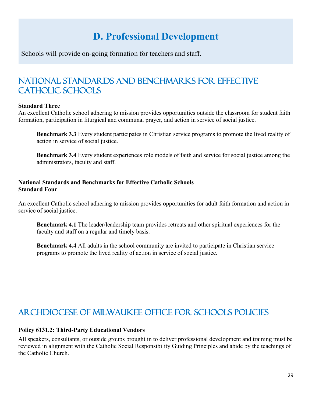# **D. Professional Development**

Schools will provide on-going formation for teachers and staff.

# National Standards and Benchmarks for Effective CATHOLIC SCHOOLS

#### **Standard Three**

An excellent Catholic school adhering to mission provides opportunities outside the classroom for student faith formation, participation in liturgical and communal prayer, and action in service of social justice.

**Benchmark 3.3** Every student participates in Christian service programs to promote the lived reality of action in service of social justice.

**Benchmark 3.4** Every student experiences role models of faith and service for social justice among the administrators, faculty and staff.

#### **National Standards and Benchmarks for Effective Catholic Schools Standard Four**

An excellent Catholic school adhering to mission provides opportunities for adult faith formation and action in service of social justice.

**Benchmark 4.1** The leader/leadership team provides retreats and other spiritual experiences for the faculty and staff on a regular and timely basis.

**Benchmark 4.4** All adults in the school community are invited to participate in Christian service programs to promote the lived reality of action in service of social justice.

# Archdiocese of Milwaukee Office for Schools Policies

#### **Policy 6131.2: Third-Party Educational Vendors**

All speakers, consultants, or outside groups brought in to deliver professional development and training must be reviewed in alignment with the Catholic Social Responsibility Guiding Principles and abide by the teachings of the Catholic Church.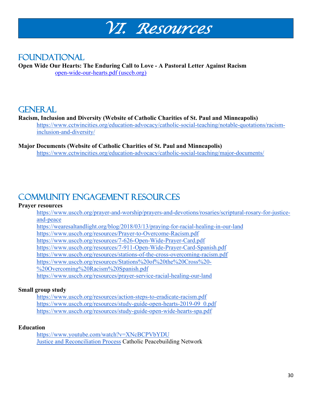

## **FOUNDATIONAL**

**Open Wide Our Hearts: The Enduring Call to Love - A Pastoral Letter Against Racism** [open-wide-our-hearts.pdf \(usccb.org\)](https://www.usccb.org/issues-and-action/human-life-and-dignity/racism/upload/open-wide-our-hearts.pdf)

### **GENERAL**

#### **Racism, Inclusion and Diversity (Website of Catholic Charities of St. Paul and Minneapolis)**

[https://www.cctwincities.org/education-advocacy/catholic-social-teaching/notable-quotations/racism](https://www.cctwincities.org/education-advocacy/catholic-social-teaching/notable-quotations/racism-inclusion-and-diversity/)[inclusion-and-diversity/](https://www.cctwincities.org/education-advocacy/catholic-social-teaching/notable-quotations/racism-inclusion-and-diversity/)

### **Major Documents (Website of Catholic Charities of St. Paul and Minneapolis)**

<https://www.cctwincities.org/education-advocacy/catholic-social-teaching/major-documents/>

# Community Engagement Resources

#### **Prayer resources**

[https://www.usccb.org/prayer-and-worship/prayers-and-devotions/rosaries/scriptural-rosary-for-justice](https://www.usccb.org/prayer-and-worship/prayers-and-devotions/rosaries/scriptural-rosary-for-justice-and-peace)[and-peace](https://www.usccb.org/prayer-and-worship/prayers-and-devotions/rosaries/scriptural-rosary-for-justice-and-peace)

<https://wearesaltandlight.org/blog/2018/03/13/praying-for-racial-healing-in-our-land>

<https://www.usccb.org/resources/Prayer-to-Overcome-Racism.pdf>

<https://www.usccb.org/resources/7-626-Open-Wide-Prayer-Card.pdf>

<https://www.usccb.org/resources/7-911-Open-Wide-Prayer-Card-Spanish.pdf>

<https://www.usccb.org/resources/stations-of-the-cross-overcoming-racism.pdf>

[https://www.usccb.org/resources/Stations%20of%20the%20Cross%20-](https://www.usccb.org/resources/Stations%20of%20the%20Cross%20-%20Overcoming%20Racism%20Spanish.pdf)

[%20Overcoming%20Racism%20Spanish.pdf](https://www.usccb.org/resources/Stations%20of%20the%20Cross%20-%20Overcoming%20Racism%20Spanish.pdf)

<https://www.usccb.org/resources/prayer-service-racial-healing-our-land>

#### **Small group study**

<https://www.usccb.org/resources/action-steps-to-eradicate-racism.pdf> [https://www.usccb.org/resources/study-guide-open-hearts-2019-09\\_0.pdf](https://www.usccb.org/resources/study-guide-open-hearts-2019-09_0.pdf) <https://www.usccb.org/resources/study-guide-open-wide-hearts-spa.pdf>

#### **Education**

<https://www.youtube.com/watch?v=XNcBCPVbYDU> [Justice and Reconciliation Process](https://kroc.nd.edu/assets/303696/cpn_tjr_digital_version.pdf) Catholic Peacebuilding Network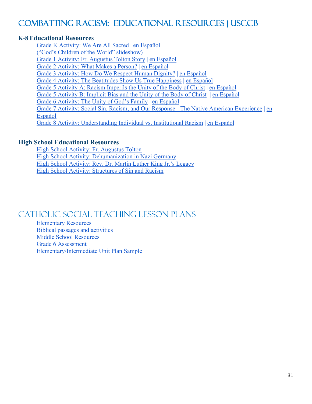# [Combatting Racism: Educational Resources | USCCB](https://www.usccb.org/committees/ad-hoc-committee-against-racism/combatting-racism-educational-resources)

#### **K-8 Educational Resources**

[Grade K Activity: We Are All Sacred](https://www.usccb.org/issues-and-action/human-life-and-dignity/racism/upload/grade-k-resource.pdf) | [en Español](https://www.usccb.org/issues-and-action/human-life-and-dignity/racism/upload/grade-k-resource-spa.pdf) [\("God's Children of the World" slideshow\)](https://www.usccb.org/sites/default/files/2020-08/children-of-the-world-photo-slides.pdf) [Grade 1 Activity: Fr. Augustus Tolton Story](https://www.usccb.org/issues-and-action/human-life-and-dignity/racism/upload/grade-1-resource.pdf) | [en Español](https://www.usccb.org/issues-and-action/human-life-and-dignity/racism/upload/grade-1-resource-spa.pdf) [Grade 2 Activity: What Makes a Person?](https://www.usccb.org/issues-and-action/human-life-and-dignity/racism/upload/grade-2-resource.pdf) | [en Español](https://www.usccb.org/issues-and-action/human-life-and-dignity/racism/upload/grade-2-resource-spa.pdf) [Grade 3 Activity: How Do We Respect Human Dignity?](https://www.usccb.org/issues-and-action/human-life-and-dignity/racism/upload/grade-3-resource.pdf) | [en Español](https://www.usccb.org/issues-and-action/human-life-and-dignity/racism/upload/grade-3-resource-spa.pdf) [Grade 4 Activity: The Beatitudes Show Us True Happiness](https://www.usccb.org/issues-and-action/human-life-and-dignity/racism/upload/grade-4-resource.pdf) | [en Español](https://www.usccb.org/issues-and-action/human-life-and-dignity/racism/upload/grade-4-resource-spa.pdf) [Grade 5 Activity A: Racism Imperils the Unity of the Body](https://www.usccb.org/issues-and-action/human-life-and-dignity/racism/upload/grade-5-resource-a.pdf) of Christ | [en Español](https://www.usccb.org/issues-and-action/human-life-and-dignity/racism/upload/grade-5-resource-a-spa.pdf) [Grade 5 Activity B: Implicit Bias and the Unity of the Body of Christ](https://www.usccb.org/issues-and-action/human-life-and-dignity/racism/upload/grade-5-resource-b.pdf) | [en Español](https://www.usccb.org/issues-and-action/human-life-and-dignity/racism/upload/grade-5-resource-b-spa.pdf) [Grade 6 Activity: The Unity of God's Family](https://www.usccb.org/issues-and-action/human-life-and-dignity/racism/upload/grade-6-resource.pdf) | [en Español](https://www.usccb.org/issues-and-action/human-life-and-dignity/racism/upload/grade-6-resource-spa.pdf) [Grade 7 Activity: Social Sin, Racism, and Our Response -](https://www.usccb.org/issues-and-action/human-life-and-dignity/racism/upload/grade-7-resource.pdf) The Native American Experience | [en](https://www.usccb.org/issues-and-action/human-life-and-dignity/racism/upload/grade-7-resource-spa.pdf)  [Español](https://www.usccb.org/issues-and-action/human-life-and-dignity/racism/upload/grade-7-resource-spa.pdf) [Grade 8 Activity: Understanding Individual vs. Institutional Racism](https://www.usccb.org/issues-and-action/human-life-and-dignity/racism/upload/grade-8-resource.pdf) | [en Español](https://www.usccb.org/issues-and-action/human-life-and-dignity/racism/upload/grade-8-resource-spa.pdf)

#### **High School Educational Resources**

[High School Activity: Fr. Augustus Tolton](https://www.usccb.org/issues-and-action/human-life-and-dignity/racism/upload/resource-hs-tolton.pdf) [High School Activity: Dehumanization in Nazi Germany](https://www.usccb.org/issues-and-action/human-life-and-dignity/racism/upload/resource-hs-nazi-germany.pdf) [High School Activity: Rev. Dr. Martin Luther King Jr.'s Legacy](https://www.usccb.org/issues-and-action/human-life-and-dignity/racism/upload/resources-hs-mlk.pdf) [High School Activity: Structures of](https://www.usccb.org/issues-and-action/human-life-and-dignity/racism/upload/resource-hs-structures-of-sin.pdf) Sin and Racism

### [Catholic Social Teaching Lesson Plans](https://www.crs.org/resource-center/catholic-social-teaching-lesson-plans)

[Elementary Resources](https://www.wearesaltandlight.org/learn-together/learning-activities-catholic-social-teaching) [Biblical passages and activities](https://findinggodamongus.com/respect-diversity/) [Middle School Resources](https://lib.stmarytx.edu/c.php?g=288002&p=1920122) [Grade 6 Assessment](https://sites.google.com/a/holyfamilyaston.org/amayo/grade-8-religion/religion-ela-performance-assessment-8) [Elementary/Intermediate Unit Plan Sample](https://docs.google.com/document/d/1igfrMDkIHQA7BK1bnNXGJDt4r4KDUKAr/edit)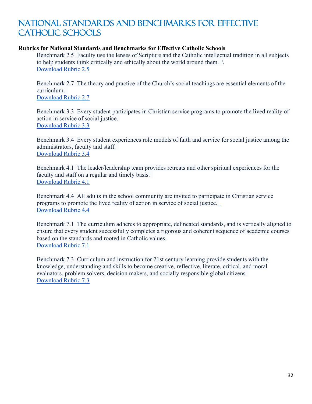## [National Standards and Benchmarks for Effective](https://www.catholicschoolstandards.org/)  CATHOLIC SCHOOLS

#### **Rubrics for National Standards and Benchmarks for Effective Catholic Schools**

Benchmark 2.5 Faculty use the lenses of Scripture and the Catholic intellectual tradition in all subjects to help students think critically and ethically about the world around them. \ [Download Rubric 2.5](https://catholicschoolstandards.org/images/docs/rubrics/standard_2/Rubrics-for-Benchmark-25.pdf)

Benchmark 2.7 The theory and practice of the Church's social teachings are essential elements of the curriculum. [Download Rubric 2.7](https://catholicschoolstandards.org/images/docs/rubrics/standard_2/Rubrics-for-Benchmark-27.pdf)

Benchmark 3.3 Every student participates in Christian service programs to promote the lived reality of action in service of social justice. [Download Rubric 3.3](https://catholicschoolstandards.org/images/docs/rubrics/standard_3/Rubrics-for-Benchmark-33.pdf)

Benchmark 3.4 Every student experiences role models of faith and service for social justice among the administrators, faculty and staff. [Download Rubric 3.4](https://catholicschoolstandards.org/images/docs/rubrics/standard_3/Rubrics-for-Benchmark-34.pdf)

Benchmark 4.1 The leader/leadership team provides retreats and other spiritual experiences for the faculty and staff on a regular and timely basis. [Download Rubric 4.1](https://catholicschoolstandards.org/images/docs/rubrics/standard_4/Rubrics-for-Benchmark-41.pdf)

Benchmark 4.4 All adults in the school community are invited to participate in Christian service programs to promote the lived reality of action in service of social justice. [Download Rubric 4.4](https://catholicschoolstandards.org/images/docs/rubrics/standard_4/Rubrics-for-Benchmark-44.pdf)

Benchmark 7.1 The curriculum adheres to appropriate, delineated standards, and is vertically aligned to ensure that every student successfully completes a rigorous and coherent sequence of academic courses based on the standards and rooted in Catholic values. [Download Rubric 7.1](https://catholicschoolstandards.org/images/docs/rubrics/standard_7/Rubrics-for-Benchmark-71.pdf)

Benchmark 7.3 Curriculum and instruction for 21st century learning provide students with the knowledge, understanding and skills to become creative, reflective, literate, critical, and moral evaluators, problem solvers, decision makers, and socially responsible global citizens. [Download Rubric 7.3](https://catholicschoolstandards.org/images/docs/rubrics/standard_7/Rubrics-for-Benchmark-73.pdf)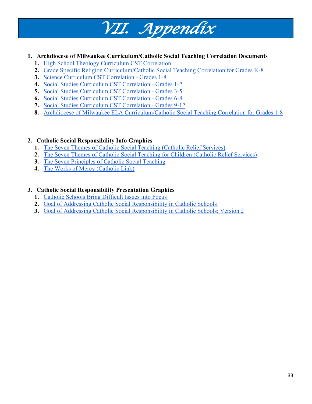#### **1. Archdiocese of Milwaukee Curriculum/Catholic Social Teaching Correlation Documents**

*VII. Appendix*

- **1.** [High School Theology Curriculum CST Correlation](https://schools.archmil.org/CentersofExcellence/DOCsPDFs/Catholic-Social-Responsibility/HighSchoolTheologyCurriculumCSTCorrelationDraft.pdf)
- **2.** [Grade Specific Religion Curriculum/Catholic Social Teaching Correlation for Grades K-8](https://schools.archmil.org/CentersofExcellence/DOCsPDFs/Links/GradeSpecificReligionCurriculum-CatholicSocialTeachingCorrelationforGradesK-8.pdf)
- **3.** [Science Curriculum CST Correlation -](https://schools.archmil.org/CentersofExcellence/DOCsPDFs/Catholic-Social-Responsibility/ScienceCurriculum.CSTCorrelationGrade1.8.pdf) Grades 1-8
- **4.** [Social Studies Curriculum CST Correlation -](https://schools.archmil.org/CentersofExcellence/DOCsPDFs/Catholic-Social-Responsibility/SocialStudiesCurriculumCSTCorrelation_Gr1.2.pdf) Grades 1-2
- **5.** [Social Studies Curriculum CST Correlation -](https://schools.archmil.org/CentersofExcellence/DOCsPDFs/Catholic-Social-Responsibility/SocialStudiesCurriculumCSTCorrelation_Gr3.5.pdf) Grades 3-5
- **6.** [Social Studies Curriculum CST Correlation -](https://schools.archmil.org/CentersofExcellence/DOCsPDFs/Catholic-Social-Responsibility/SocialStudiesCurriculumCSTCorrelation_Gr6.8.pdf) Grades 6-8
- **7.** [Social Studies Curriculum CST Correlation -](https://schools.archmil.org/CentersofExcellence/DOCsPDFs/Catholic-Social-Responsibility/SocialStudiesCurriculumCSTCorrelation_Gr9.12.pdf) Grades 9-12
- **8.** [Archdiocese of Milwaukee ELA Curriculum/Catholic Social Teaching Correlation for Grades 1-8](https://schools.archmil.org/CentersofExcellence/DOCsPDFs/Links/ArchdioceseofMilwaukeeELACurriculumCatholicSocialTeachingCorrelationforGrades1-8.pdf)

#### **2. Catholic Social Responsibility Info Graphics**

- **1.** [The Seven Themes of Catholic Social Teaching \(Catholic Relief Services\)](https://www.crs.org/sites/default/files/usops-resources/17us495_cst_poster-adult_en-digital.pdf)
- **2.** [The Seven Themes of Catholic Social Teaching for Children \(Catholic Relief Services\)](https://www.crs.org/sites/default/files/usops-resources/17us495_cst_handout-kids_en-digital.pdf)
- **3.** [The Seven Principles of Catholic Social Teaching](http://www.ccmke.org/CatholicCharities/pdf/7PrinciplesofCatholicSocialTeaching.pdf)
- **4.** [The Works of Mercy \(Catholic Link\)](https://catholic-link.org/?s=The+works+of+mercy+infographic&posttype_search=cc_image)

#### **3. Catholic Social Responsibility Presentation Graphics**

- **1.** [Catholic Schools Bring Difficult Issues into Focus](https://schools.archmil.org/CentersofExcellence/DOCsPDFs/Catholic-Social-Responsibility/CatholicSchoolsBringDifficultIssuesintoFocus.pdf)
- **2.** [Goal of Addressing Catholic Social Responsibility in Catholic Schools](https://schools.archmil.org/CentersofExcellence/DOCsPDFs/Catholic-Social-Responsibility/GoalofAddressingCatholicSocialResponsibilityinCatholicSchools.pdf)
- **3.** [Goal of Addressing Catholic Social Responsibility in Catholic Schools: Version 2](https://schools.archmil.org/CentersofExcellence/DOCsPDFs/Catholic-Social-Responsibility/GoalofAddressingCatholicSocialResponsibilityinCatholicSchools-v2.pdf)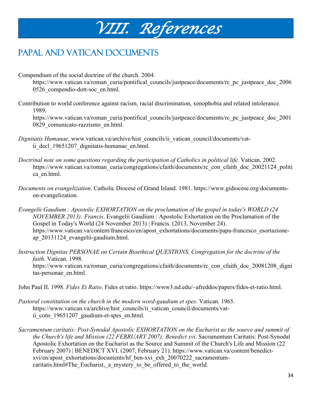# *VIII. References*

# PAPAL AND VATICAN DOCUMENTS

Compendium of the social doctrine of the church. 2004.

https://www.vatican.va/roman\_curia/pontifical\_councils/justpeace/documents/rc\_pc\_justpeace\_doc\_2006 0526\_compendio-dott-soc\_en.html.

Contribution to world conference against racism, racial discrimination, xenophobia and related intolerance. 1989.

https://www.vatican.va/roman\_curia/pontifical\_councils/justpeace/documents/rc\_pc\_justpeace\_doc\_2001 0829\_comunicato-razzismo\_en.html.

- *Dignitatis Humanae*, www.vatican.va/archive/hist\_councils/ii\_vatican\_council/documents/vatii decl 19651207 dignitatis-humanae en.html.
- *Doctrinal note on some questions regarding the participation of Catholics in political life*. Vatican. 2002. https://www.vatican.va/roman\_curia/congregations/cfaith/documents/rc\_con\_cfaith\_doc\_20021124\_politi ca\_en.html.
- *Documents on evangelization*. Catholic Diocese of Grand Island. 1981. https://www.gidiocese.org/documentson-evangelization.
- *Evangelii Gaudium : Apostolic EXHORTATION on the proclamation of the gospel in today's WORLD (24 NOVEMBER 2013): Francis*. Evangelii Gaudium : Apostolic Exhortation on the Proclamation of the Gospel in Today's World (24 November 2013) | Francis. (2013, November 24). https://www.vatican.va/content/francesco/en/apost\_exhortations/documents/papa-francesco\_esortazioneap\_20131124\_evangelii-gaudium.html.
- *Instruction Dignitas PERSONAE on Certain Bioethical QUESTIONS, Congregation for the doctrine of the faith*. Vatican. 1998. https://www.vatican.va/roman\_curia/congregations/cfaith/documents/rc\_con\_cfaith\_doc\_20081208\_digni tas-personae\_en.html.

John Paul II. 1998. *Fides Et Ratio*. Fides et ratio. https://www3.nd.edu/~afreddos/papers/fides-et-ratio.html.

- *Pastoral constitution on the church in the modern word-gaudium et spes*. Vatican. 1965. https://www.vatican.va/archive/hist\_councils/ii\_vatican\_council/documents/vatii cons 19651207 gaudium-et-spes en.html.
- *Sacramentum caritatis: Post-Synodal Apostolic EXHORTATION on the Eucharist as the source and summit of the Church's life and Mission (22 FEBRUARY 2007): Benedict xvi*. Sacramentum Caritatis: Post-Synodal Apostolic Exhortation on the Eucharist as the Source and Summit of the Church's Life and Mission (22 February 2007) | BENEDICT XVI. (2007, February 21). https://www.vatican.va/content/benedictxvi/en/apost\_exhortations/documents/hf\_ben-xvi\_exh\_20070222\_sacramentumcaritatis.html#The Eucharist, a mystery to be offered to the world.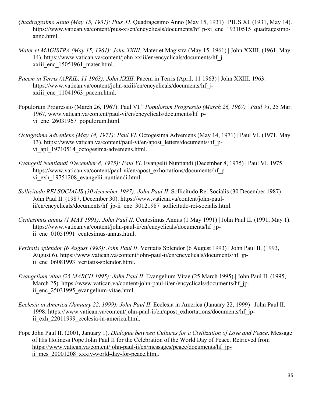- *Quadragesimo Anno (May 15, 1931): Pius XI*. Quadragesimo Anno (May 15, 1931) | PIUS XI. (1931, May 14). https://www.vatican.va/content/pius-xi/en/encyclicals/documents/hf\_p-xi\_enc\_19310515\_quadragesimoanno.html.
- *Mater et MAGISTRA (May 15, 1961): John XXIII*. Mater et Magistra (May 15, 1961) | John XXIII. (1961, May 14). https://www.vatican.va/content/john-xxiii/en/encyclicals/documents/hf\_jxxiii enc 15051961 mater.html.
- *Pacem in Terris (APRIL, 11 1963): John XXIII*. Pacem in Terris (April, 11 1963) | John XXIII. 1963. https://www.vatican.va/content/john-xxiii/en/encyclicals/documents/hf\_jxxiii enc 11041963 pacem.html.
- Populorum Progressio (March 26, 1967): Paul VI." *Populorum Progressio (March 26, 1967) | Paul VI*, 25 Mar. 1967, www.vatican.va/content/paul-vi/en/encyclicals/documents/hf\_pvi enc 26031967 populorum.html.
- *Octogesima Adveniens (May 14, 1971): Paul VI*. Octogesima Adveniens (May 14, 1971) | Paul VI. (1971, May 13). https://www.vatican.va/content/paul-vi/en/apost\_letters/documents/hf\_pvi apl 19710514 octogesima-adveniens.html.
- *Evangelii Nuntiandi (December 8, 1975): Paul VI*. Evangelii Nuntiandi (December 8, 1975) | Paul VI. 1975. https://www.vatican.va/content/paul-vi/en/apost\_exhortations/documents/hf\_pvi\_exh\_19751208\_evangelii-nuntiandi.html.
- *Sollicitudo REI SOCIALIS (30 december 1987): John Paul II*. Sollicitudo Rei Socialis (30 December 1987) | John Paul II. (1987, December 30). https://www.vatican.va/content/john-paulii/en/encyclicals/documents/hf\_jp-ii\_enc\_30121987\_sollicitudo-rei-socialis.html.
- *Centesimus annus (1 MAY 1991): John Paul II*. Centesimus Annus (1 May 1991) | John Paul II. (1991, May 1). https://www.vatican.va/content/john-paul-ii/en/encyclicals/documents/hf\_jpii enc 01051991 centesimus-annus.html.
- *Veritatis splendor (6 August 1993): John Paul II*. Veritatis Splendor (6 August 1993) | John Paul II. (1993, August 6). https://www.vatican.va/content/john-paul-ii/en/encyclicals/documents/hf\_jpii enc 06081993 veritatis-splendor.html.
- *Evangelium vitae (25 MARCH 1995): John Paul II*. Evangelium Vitae (25 March 1995) | John Paul II. (1995, March 25). https://www.vatican.va/content/john-paul-ii/en/encyclicals/documents/hf jpii enc 25031995 evangelium-vitae.html.
- *Ecclesia in America (January 22, 1999): John Paul II*. Ecclesia in America (January 22, 1999) | John Paul II. 1998. https://www.vatican.va/content/john-paul-ii/en/apost\_exhortations/documents/hf\_jpii exh 22011999 ecclesia-in-america.html.

Pope John Paul II. (2001, January 1). *Dialogue between Cultures for a Civilization of Love and Peace*. Message of His Holiness Pope John Paul II for the Celebration of the World Day of Peace. Retrieved from [https://www.vatican.va/content/john-paul-ii/en/messages/peace/documents/hf\\_jp](https://www.vatican.va/content/john-paul-ii/en/messages/peace/documents/hf_jp-ii_mes_20001208_xxxiv-world-day-for-peace.html)ii mes 20001208 xxxiv-world-day-for-peace.html.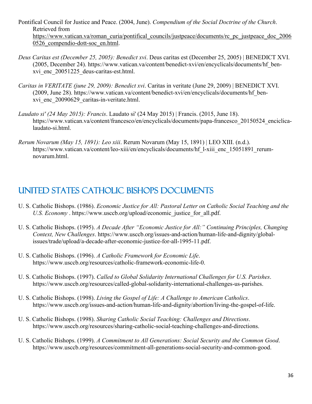- Pontifical Council for Justice and Peace. (2004, June). *Compendium of the Social Doctrine of the Church*. Retrieved from [https://www.vatican.va/roman\\_curia/pontifical\\_councils/justpeace/documents/rc\\_pc\\_justpeace\\_doc\\_2006](https://www.vatican.va/roman_curia/pontifical_councils/justpeace/documents/rc_pc_justpeace_doc_20060526_compendio-dott-soc_en.html) [0526\\_compendio-dott-soc\\_en.html.](https://www.vatican.va/roman_curia/pontifical_councils/justpeace/documents/rc_pc_justpeace_doc_20060526_compendio-dott-soc_en.html)
- *Deus Caritas est (December 25, 2005): Benedict xvi*. Deus caritas est (December 25, 2005) | BENEDICT XVI. (2005, December 24). https://www.vatican.va/content/benedict-xvi/en/encyclicals/documents/hf\_benxvi\_enc\_20051225\_deus-caritas-est.html.
- *Caritas in VERITATE (june 29, 2009): Benedict xvi*. Caritas in veritate (June 29, 2009) | BENEDICT XVI. (2009, June 28). https://www.vatican.va/content/benedict-xvi/en/encyclicals/documents/hf\_benxvi\_enc\_20090629\_caritas-in-veritate.html.
- *Laudato si' (24 May 2015): Francis*. Laudato si' (24 May 2015) | Francis. (2015, June 18). https://www.vatican.va/content/francesco/en/encyclicals/documents/papa-francesco\_20150524\_enciclicalaudato-si.html.
- *Rerum Novarum (May 15, 1891): Leo xiii*. Rerum Novarum (May 15, 1891) | LEO XIII. (n.d.). https://www.vatican.va/content/leo-xiii/en/encyclicals/documents/hf\_l-xiii\_enc\_15051891\_rerumnovarum.html.

# United States Catholic Bishops Documents

- U. S. Catholic Bishops. (1986). *Economic Justice for All: Pastoral Letter on Catholic Social Teaching and the U.S. Economy* . https://www.usccb.org/upload/economic\_justice\_for\_all.pdf.
- U. S. Catholic Bishops. (1995). *A Decade After "Economic Justice for All:" Continuing Principles, Changing Context, New Challenges*. https://www.usccb.org/issues-and-action/human-life-and-dignity/globalissues/trade/upload/a-decade-after-economic-justice-for-all-1995-11.pdf.
- U. S. Catholic Bishops. (1996). *A Catholic Framework for Economic Life*. https://www.usccb.org/resources/catholic-framework-economic-life-0.
- U. S. Catholic Bishops. (1997). *Called to Global Solidarity International Challenges for U.S. Parishes*. https://www.usccb.org/resources/called-global-solidarity-international-challenges-us-parishes.
- U. S. Catholic Bishops. (1998). *Living the Gospel of Life: A Challenge to American Catholics*. https://www.usccb.org/issues-and-action/human-life-and-dignity/abortion/living-the-gospel-of-life.
- U. S. Catholic Bishops. (1998). *Sharing Catholic Social Teaching: Challenges and Directions*. https://www.usccb.org/resources/sharing-catholic-social-teaching-challenges-and-directions.
- U. S. Catholic Bishops. (1999). *A Commitment to All Generations: Social Security and the Common Good*. https://www.usccb.org/resources/commitment-all-generations-social-security-and-common-good.